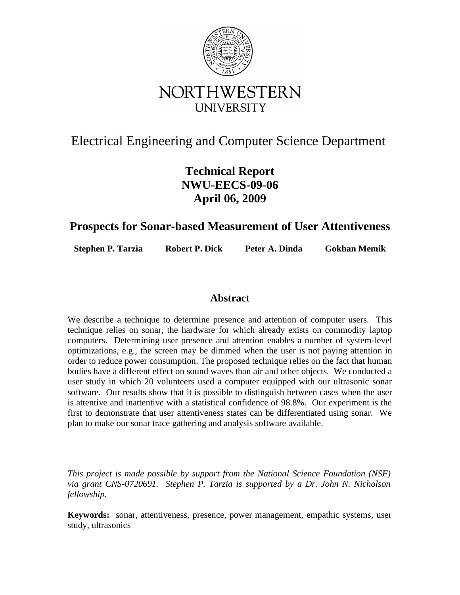

# Electrical Engineering and Computer Science Department

# **Technical Report NWU-EECS-09-06 April 06, 2009**

# **Prospects for Sonar-based Measurement of User Attentiveness**

**Stephen P. Tarzia Robert P. Dick Peter A. Dinda Gokhan Memik**

## **Abstract**

We describe a technique to determine presence and attention of computer users. This technique relies on sonar, the hardware for which already exists on commodity laptop computers. Determining user presence and attention enables a number of system-level optimizations, e.g., the screen may be dimmed when the user is not paying attention in order to reduce power consumption. The proposed technique relies on the fact that human bodies have a different effect on sound waves than air and other objects. We conducted a user study in which 20 volunteers used a computer equipped with our ultrasonic sonar software. Our results show that it is possible to distinguish between cases when the user is attentive and inattentive with a statistical confidence of 98.8%. Our experiment is the first to demonstrate that user attentiveness states can be differentiated using sonar. We plan to make our sonar trace gathering and analysis software available.

*This project is made possible by support from the National Science Foundation (NSF) via grant CNS-0720691. Stephen P. Tarzia is supported by a Dr. John N. Nicholson fellowship.*

**Keywords:** sonar, attentiveness, presence, power management, empathic systems, user study, ultrasonics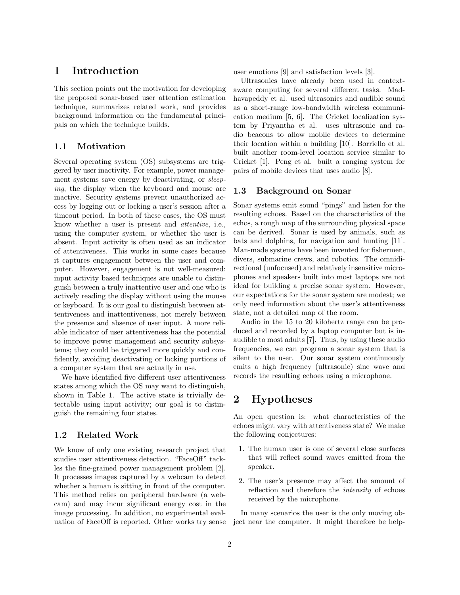## 1 Introduction

This section points out the motivation for developing the proposed sonar-based user attention estimation technique, summarizes related work, and provides background information on the fundamental principals on which the technique builds.

#### 1.1 Motivation

Several operating system (OS) subsystems are triggered by user inactivity. For example, power management systems save energy by deactivating, or *sleep*ing, the display when the keyboard and mouse are inactive. Security systems prevent unauthorized access by logging out or locking a user's session after a timeout period. In both of these cases, the OS must know whether a user is present and attentive, i.e., using the computer system, or whether the user is absent. Input activity is often used as an indicator of attentiveness. This works in some cases because it captures engagement between the user and computer. However, engagement is not well-measured: input activity based techniques are unable to distinguish between a truly inattentive user and one who is actively reading the display without using the mouse or keyboard. It is our goal to distinguish between attentiveness and inattentiveness, not merely between the presence and absence of user input. A more reliable indicator of user attentiveness has the potential to improve power management and security subsystems; they could be triggered more quickly and confidently, avoiding deactivating or locking portions of a computer system that are actually in use.

We have identified five different user attentiveness states among which the OS may want to distinguish, shown in Table 1. The active state is trivially detectable using input activity; our goal is to distinguish the remaining four states.

#### 1.2 Related Work

We know of only one existing research project that studies user attentiveness detection. "FaceOff" tackles the fine-grained power management problem [2]. It processes images captured by a webcam to detect whether a human is sitting in front of the computer. This method relies on peripheral hardware (a webcam) and may incur significant energy cost in the image processing. In addition, no experimental evaluation of FaceOff is reported. Other works try sense user emotions [9] and satisfaction levels [3].

Ultrasonics have already been used in contextaware computing for several different tasks. Madhavapeddy et al. used ultrasonics and audible sound as a short-range low-bandwidth wireless communication medium [5, 6]. The Cricket localization system by Priyantha et al. uses ultrasonic and radio beacons to allow mobile devices to determine their location within a building [10]. Borriello et al. built another room-level location service similar to Cricket [1]. Peng et al. built a ranging system for pairs of mobile devices that uses audio [8].

#### 1.3 Background on Sonar

Sonar systems emit sound "pings" and listen for the resulting echoes. Based on the characteristics of the echos, a rough map of the surrounding physical space can be derived. Sonar is used by animals, such as bats and dolphins, for navigation and hunting [11]. Man-made systems have been invented for fishermen, divers, submarine crews, and robotics. The omnidirectional (unfocused) and relatively insensitive microphones and speakers built into most laptops are not ideal for building a precise sonar system. However, our expectations for the sonar system are modest; we only need information about the user's attentiveness state, not a detailed map of the room.

Audio in the 15 to 20 kilohertz range can be produced and recorded by a laptop computer but is inaudible to most adults [7]. Thus, by using these audio frequencies, we can program a sonar system that is silent to the user. Our sonar system continuously emits a high frequency (ultrasonic) sine wave and records the resulting echoes using a microphone.

## 2 Hypotheses

An open question is: what characteristics of the echoes might vary with attentiveness state? We make the following conjectures:

- 1. The human user is one of several close surfaces that will reflect sound waves emitted from the speaker.
- 2. The user's presence may affect the amount of reflection and therefore the intensity of echoes received by the microphone.

In many scenarios the user is the only moving object near the computer. It might therefore be help-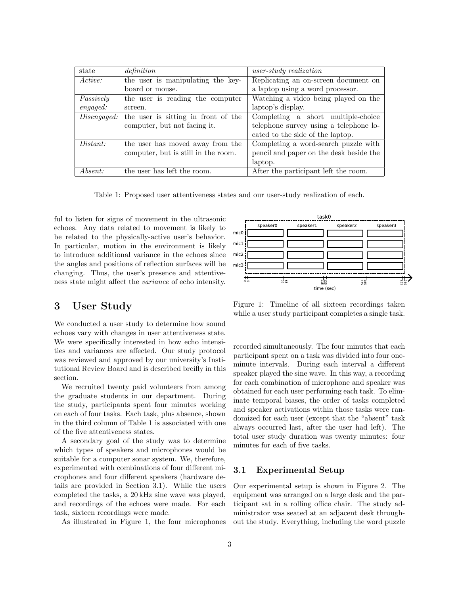| state       | definition                          | $user-study$ realization                |  |  |
|-------------|-------------------------------------|-----------------------------------------|--|--|
| Active:     | the user is manipulating the key-   | Replicating an on-screen document on    |  |  |
|             | board or mouse.                     | a laptop using a word processor.        |  |  |
| Passively   | the user is reading the computer    | Watching a video being played on the    |  |  |
| engaged:    | screen.                             | laptop's display.                       |  |  |
| Disengaged: | the user is sitting in front of the | Completing a short multiple-choice      |  |  |
|             | computer, but not facing it.        | telephone survey using a telephone lo-  |  |  |
|             |                                     | cated to the side of the laptop.        |  |  |
| Distant:    | the user has moved away from the    | Completing a word-search puzzle with    |  |  |
|             | computer, but is still in the room. | pencil and paper on the desk beside the |  |  |
|             |                                     | laptop.                                 |  |  |
| Absent:     | the user has left the room.         | After the participant left the room.    |  |  |

Table 1: Proposed user attentiveness states and our user-study realization of each.

ful to listen for signs of movement in the ultrasonic echoes. Any data related to movement is likely to be related to the physically-active user's behavior. In particular, motion in the environment is likely to introduce additional variance in the echoes since the angles and positions of reflection surfaces will be changing. Thus, the user's presence and attentiveness state might affect the variance of echo intensity.

## 3 User Study

We conducted a user study to determine how sound echoes vary with changes in user attentiveness state. We were specifically interested in how echo intensities and variances are affected. Our study protocol was reviewed and approved by our university's Institutional Review Board and is described breifly in this section.

We recruited twenty paid volunteers from among the graduate students in our department. During the study, participants spent four minutes working on each of four tasks. Each task, plus absence, shown in the third column of Table 1 is associated with one of the five attentiveness states.

A secondary goal of the study was to determine which types of speakers and microphones would be suitable for a computer sonar system. We, therefore, experimented with combinations of four different microphones and four different speakers (hardware details are provided in Section 3.1). While the users completed the tasks, a 20 kHz sine wave was played, and recordings of the echoes were made. For each task, sixteen recordings were made.

As illustrated in Figure 1, the four microphones

task0 speaker2 speaker3 speaker0 speaker1 mic0  $mic1$  $mic2$  $mic3$ はま 볋 볋 time (sec)

Figure 1: Timeline of all sixteen recordings taken while a user study participant completes a single task.

recorded simultaneously. The four minutes that each participant spent on a task was divided into four oneminute intervals. During each interval a different speaker played the sine wave. In this way, a recording for each combination of microphone and speaker was obtained for each user performing each task. To eliminate temporal biases, the order of tasks completed and speaker activations within those tasks were randomized for each user (except that the "absent" task always occurred last, after the user had left). The total user study duration was twenty minutes: four minutes for each of five tasks.

### 3.1 Experimental Setup

Our experimental setup is shown in Figure 2. The equipment was arranged on a large desk and the participant sat in a rolling office chair. The study administrator was seated at an adjacent desk throughout the study. Everything, including the word puzzle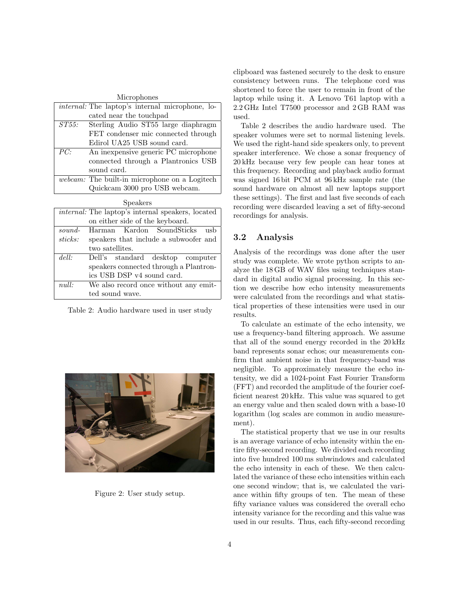|                                     | Microphones                                            |  |  |
|-------------------------------------|--------------------------------------------------------|--|--|
|                                     | <i>internal:</i> The laptop's internal microphone, lo- |  |  |
|                                     | cated near the touchpad                                |  |  |
| ST55:                               | Sterling Audio ST55 large diaphragm                    |  |  |
|                                     | FET condenser mic connected through                    |  |  |
|                                     | Edirol UA25 USB sound card.                            |  |  |
| PC:                                 | An inexpensive generic PC microphone                   |  |  |
| connected through a Plantronics USB |                                                        |  |  |
|                                     | sound card.                                            |  |  |
|                                     | webcam: The built-in microphone on a Logitech          |  |  |
|                                     | Quickcam 3000 pro USB webcam.                          |  |  |
|                                     | Speakers                                               |  |  |

| ppearels                                                 |                                       |  |  |
|----------------------------------------------------------|---------------------------------------|--|--|
| <i>internal:</i> The laptop's internal speakers, located |                                       |  |  |
| on either side of the keyboard.                          |                                       |  |  |
| $sound-$                                                 | Harman Kardon SoundSticks<br>ush      |  |  |
| sticks:                                                  | speakers that include a subwoofer and |  |  |
|                                                          | two satellites.                       |  |  |
| del!                                                     | Dell's standard desktop computer      |  |  |
| speakers connected through a Plantron-                   |                                       |  |  |
| ics USB DSP v4 sound card.                               |                                       |  |  |
| We also record once without any emit-<br>null:           |                                       |  |  |
|                                                          | ted sound wave.                       |  |  |

Table 2: Audio hardware used in user study



Figure 2: User study setup.

clipboard was fastened securely to the desk to ensure consistency between runs. The telephone cord was shortened to force the user to remain in front of the laptop while using it. A Lenovo T61 laptop with a 2.2 GHz Intel T7500 processor and 2 GB RAM was used.

Table 2 describes the audio hardware used. The speaker volumes were set to normal listening levels. We used the right-hand side speakers only, to prevent speaker interference. We chose a sonar frequency of 20 kHz because very few people can hear tones at this frequency. Recording and playback audio format was signed 16 bit PCM at 96 kHz sample rate (the sound hardware on almost all new laptops support these settings). The first and last five seconds of each recording were discarded leaving a set of fifty-second recordings for analysis.

#### 3.2 Analysis

Analysis of the recordings was done after the user study was complete. We wrote python scripts to analyze the 18 GB of WAV files using techniques standard in digital audio signal processing. In this section we describe how echo intensity measurements were calculated from the recordings and what statistical properties of these intensities were used in our results.

To calculate an estimate of the echo intensity, we use a frequency-band filtering approach. We assume that all of the sound energy recorded in the 20 kHz band represents sonar echos; our measurements confirm that ambient noise in that frequency-band was negligible. To approximately measure the echo intensity, we did a 1024-point Fast Fourier Transform (FFT) and recorded the amplitude of the fourier coefficient nearest 20 kHz. This value was squared to get an energy value and then scaled down with a base-10 logarithm (log scales are common in audio measurement).

The statistical property that we use in our results is an average variance of echo intensity within the entire fifty-second recording. We divided each recording into five hundred 100 ms subwindows and calculated the echo intensity in each of these. We then calculated the variance of these echo intensities within each one second window; that is, we calculated the variance within fifty groups of ten. The mean of these fifty variance values was considered the overall echo intensity variance for the recording and this value was used in our results. Thus, each fifty-second recording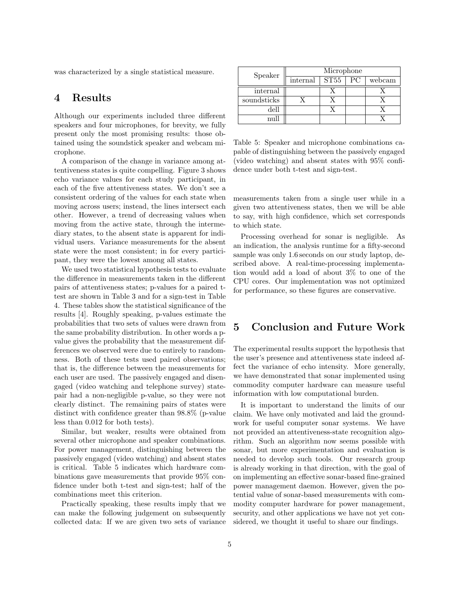was characterized by a single statistical measure.

## 4 Results

Although our experiments included three different speakers and four microphones, for brevity, we fully present only the most promising results: those obtained using the soundstick speaker and webcam microphone.

A comparison of the change in variance among attentiveness states is quite compelling. Figure 3 shows echo variance values for each study participant, in each of the five attentiveness states. We don't see a consistent ordering of the values for each state when moving across users; instead, the lines intersect each other. However, a trend of decreasing values when moving from the active state, through the intermediary states, to the absent state is apparent for individual users. Variance measurements for the absent state were the most consistent; in for every participant, they were the lowest among all states.

We used two statistical hypothesis tests to evaluate the difference in measurements taken in the different pairs of attentiveness states; p-values for a paired ttest are shown in Table 3 and for a sign-test in Table 4. These tables show the statistical significance of the results [4]. Roughly speaking, p-values estimate the probabilities that two sets of values were drawn from the same probability distribution. In other words a pvalue gives the probability that the measurement differences we observed were due to entirely to randomness. Both of these tests used paired observations; that is, the difference between the measurements for each user are used. The passively engaged and disengaged (video watching and telephone survey) statepair had a non-negligible p-value, so they were not clearly distinct. The remaining pairs of states were distinct with confidence greater than 98.8% (p-value less than 0.012 for both tests).

Similar, but weaker, results were obtained from several other microphone and speaker combinations. For power management, distinguishing between the passively engaged (video watching) and absent states is critical. Table 5 indicates which hardware combinations gave measurements that provide 95% confidence under both t-test and sign-test; half of the combinations meet this criterion.

Practically speaking, these results imply that we can make the following judgement on subsequently collected data: If we are given two sets of variance

| Speaker     | Microphone |      |    |        |
|-------------|------------|------|----|--------|
|             | internal   | ST55 | РC | webcam |
| internal    |            |      |    |        |
| soundsticks |            |      |    |        |
| dell        |            |      |    |        |
|             |            |      |    |        |

Table 5: Speaker and microphone combinations capable of distinguishing between the passively engaged (video watching) and absent states with 95% confidence under both t-test and sign-test.

measurements taken from a single user while in a given two attentiveness states, then we will be able to say, with high confidence, which set corresponds to which state.

Processing overhead for sonar is negligible. As an indication, the analysis runtime for a fifty-second sample was only 1.6 seconds on our study laptop, described above. A real-time-processing implementation would add a load of about 3% to one of the CPU cores. Our implementation was not optimized for performance, so these figures are conservative.

## 5 Conclusion and Future Work

The experimental results support the hypothesis that the user's presence and attentiveness state indeed affect the variance of echo intensity. More generally, we have demonstrated that sonar implemented using commodity computer hardware can measure useful information with low computational burden.

It is important to understand the limits of our claim. We have only motivated and laid the groundwork for useful computer sonar systems. We have not provided an attentiveness-state recognition algorithm. Such an algorithm now seems possible with sonar, but more experimentation and evaluation is needed to develop such tools. Our research group is already working in that direction, with the goal of on implementing an effective sonar-based fine-grained power management daemon. However, given the potential value of sonar-based measurements with commodity computer hardware for power management, security, and other applications we have not yet considered, we thought it useful to share our findings.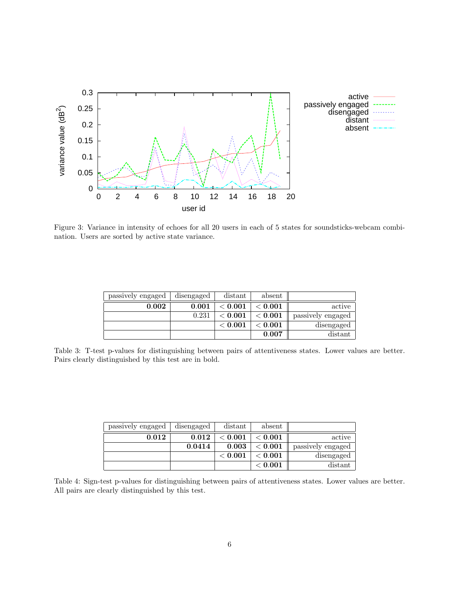

Figure 3: Variance in intensity of echoes for all 20 users in each of 5 states for soundsticks-webcam combination. Users are sorted by active state variance.

| passively engaged | disengaged | distant | absent  |                   |
|-------------------|------------|---------|---------|-------------------|
| 0.002             | 0.001      | < 0.001 | < 0.001 | active            |
|                   | 0.231      | < 0.001 | < 0.001 | passively engaged |
|                   |            | < 0.001 | < 0.001 | disengaged        |
|                   |            |         | 0.007   | distant           |

Table 3: T-test p-values for distinguishing between pairs of attentiveness states. Lower values are better. Pairs clearly distinguished by this test are in bold.

|                   | absent  | distant | disengaged | passively engaged |
|-------------------|---------|---------|------------|-------------------|
| active            | < 0.001 | < 0.001 | 0.012      | 0.012             |
| passively engaged | < 0.001 | 0.003   | 0.0414     |                   |
| disengaged        | < 0.001 | < 0.001 |            |                   |
| distant           | < 0.001 |         |            |                   |

Table 4: Sign-test p-values for distinguishing between pairs of attentiveness states. Lower values are better. All pairs are clearly distinguished by this test.